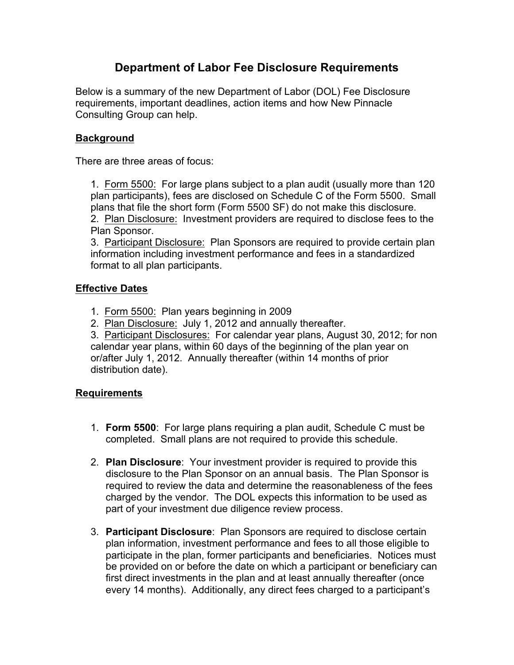# **Department of Labor Fee Disclosure Requirements**

Below is a summary of the new Department of Labor (DOL) Fee Disclosure requirements, important deadlines, action items and how New Pinnacle Consulting Group can help.

## **Background**

There are three areas of focus:

1. Form 5500: For large plans subject to a plan audit (usually more than 120 plan participants), fees are disclosed on Schedule C of the Form 5500. Small plans that file the short form (Form 5500 SF) do not make this disclosure. 2. Plan Disclosure: Investment providers are required to disclose fees to the Plan Sponsor.

3. Participant Disclosure: Plan Sponsors are required to provide certain plan information including investment performance and fees in a standardized format to all plan participants.

## **Effective Dates**

- 1. Form 5500: Plan years beginning in 2009
- 2. Plan Disclosure: July 1, 2012 and annually thereafter.

3. Participant Disclosures: For calendar year plans, August 30, 2012; for non calendar year plans, within 60 days of the beginning of the plan year on or/after July 1, 2012. Annually thereafter (within 14 months of prior distribution date).

### **Requirements**

- 1. **Form 5500**: For large plans requiring a plan audit, Schedule C must be completed. Small plans are not required to provide this schedule.
- 2. **Plan Disclosure**: Your investment provider is required to provide this disclosure to the Plan Sponsor on an annual basis. The Plan Sponsor is required to review the data and determine the reasonableness of the fees charged by the vendor. The DOL expects this information to be used as part of your investment due diligence review process.
- 3. **Participant Disclosure**: Plan Sponsors are required to disclose certain plan information, investment performance and fees to all those eligible to participate in the plan, former participants and beneficiaries. Notices must be provided on or before the date on which a participant or beneficiary can first direct investments in the plan and at least annually thereafter (once every 14 months). Additionally, any direct fees charged to a participant's